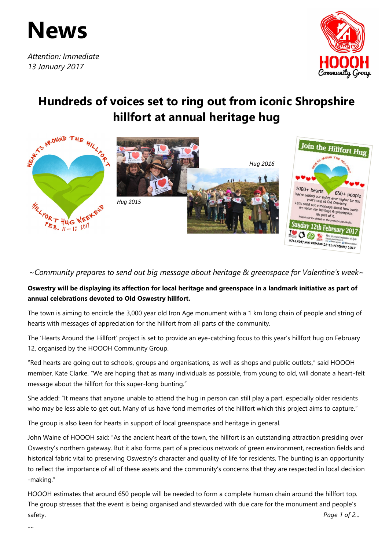

*Attention: Immediate 13 January 2017*



## **Hundreds of voices set to ring out from iconic Shropshire hillfort at annual heritage hug**



*~Community prepares to send out big message about heritage & greenspace for Valentine's week~*

## **Oswestry will be displaying its affection for local heritage and greenspace in a landmark initiative as part of annual celebrations devoted to Old Oswestry hillfort.**

The town is aiming to encircle the 3,000 year old Iron Age monument with a 1 km long chain of people and string of hearts with messages of appreciation for the hillfort from all parts of the community.

The 'Hearts Around the Hillfort' project is set to provide an eye-catching focus to this year's hillfort hug on February 12, organised by the HOOOH Community Group.

"Red hearts are going out to schools, groups and organisations, as well as shops and public outlets," said HOOOH member, Kate Clarke. "We are hoping that as many individuals as possible, from young to old, will donate a heart-felt message about the hillfort for this super-long bunting."

She added: "It means that anyone unable to attend the hug in person can still play a part, especially older residents who may be less able to get out. Many of us have fond memories of the hillfort which this project aims to capture."

The group is also keen for hearts in support of local greenspace and heritage in general.

John Waine of HOOOH said: "As the ancient heart of the town, the hillfort is an outstanding attraction presiding over Oswestry's northern gateway. But it also forms part of a precious network of green environment, recreation fields and historical fabric vital to preserving Oswestry's character and quality of life for residents. The bunting is an opportunity to reflect the importance of all of these assets and the community's concerns that they are respected in local decision -making."

HOOOH estimates that around 650 people will be needed to form a complete human chain around the hillfort top. The group stresses that the event is being organised and stewarded with due care for the monument and people's safety. Page 1 of 2...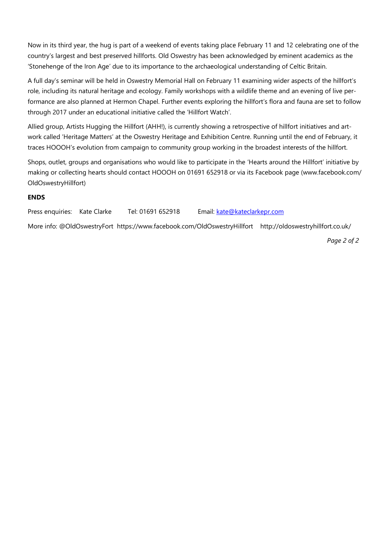Now in its third year, the hug is part of a weekend of events taking place February 11 and 12 celebrating one of the country's largest and best preserved hillforts. Old Oswestry has been acknowledged by eminent academics as the 'Stonehenge of the Iron Age' due to its importance to the archaeological understanding of Celtic Britain.

A full day's seminar will be held in Oswestry Memorial Hall on February 11 examining wider aspects of the hillfort's role, including its natural heritage and ecology. Family workshops with a wildlife theme and an evening of live performance are also planned at Hermon Chapel. Further events exploring the hillfort's flora and fauna are set to follow through 2017 under an educational initiative called the 'Hillfort Watch'.

Allied group, Artists Hugging the Hillfort (AHH!), is currently showing a retrospective of hillfort initiatives and artwork called 'Heritage Matters' at the Oswestry Heritage and Exhibition Centre. Running until the end of February, it traces HOOOH's evolution from campaign to community group working in the broadest interests of the hillfort.

Shops, outlet, groups and organisations who would like to participate in the 'Hearts around the Hillfort' initiative by making or collecting hearts should contact HOOOH on 01691 652918 or via its Facebook page (www.facebook.com/ OldOswestryHillfort)

## **ENDS**

Press enquiries: Kate Clarke Tel: 01691 652918 Email: [kate@kateclarkepr.com](mailto:kate@kateclarkepr.com)

More info: @OldOswestryFort https://www.facebook.com/OldOswestryHillfort http://oldoswestryhillfort.co.uk/

 *Page 2 of 2*